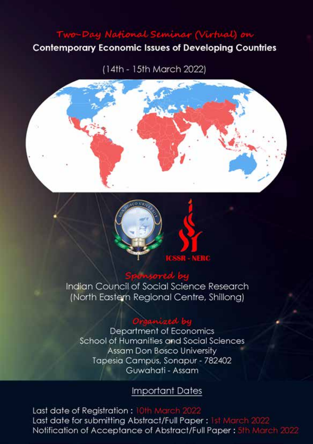# **Contemporary Economic Issues of Developing Countries**

(14th - 15th March 2022)





Indian Council of Social Science Research (North Eastern Regional Centre, Shillong)

# ingani sed hu

**Department of Economics** School of Humanities and Social Sciences Assam Don Bosco University Tapesia Campus, Sonapur - 782402 Guwahati - Assam

## **Important Dates**

Last date of Registration: 10th March Last date for submitting Abstract/Full Paper: 1st March 20 Notification of Acceptance of Abstract/Full Paper: 5th March 2022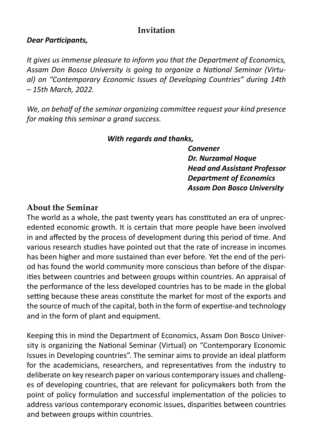## **Invitation**

#### *Dear Participants,*

*It gives us immense pleasure to inform you that the Department of Economics, Assam Don Bosco University is going to organize a National Seminar (Virtual) on "Contemporary Economic Issues of Developing Countries" during 14th – 15th March, 2022.* 

*We, on behalf of the seminar organizing committee request your kind presence for making this seminar a grand success.*

#### *With regards and thanks,*

 *Convener Dr. Nurzamal Hoque Head and Assistant Professor Department of Economics Assam Don Bosco University*

## **About the Seminar**

The world as a whole, the past twenty years has constituted an era of unprecedented economic growth. It is certain that more people have been involved in and affected by the process of development during this period of time. And various research studies have pointed out that the rate of increase in incomes has been higher and more sustained than ever before. Yet the end of the period has found the world community more conscious than before of the disparities between countries and between groups within countries. An appraisal of the performance of the less developed countries has to be made in the global setting because these areas constitute the market for most of the exports and the source of much of the capital, both in the form of expertise-and technology and in the form of plant and equipment.

Keeping this in mind the Department of Economics, Assam Don Bosco University is organizing the National Seminar (Virtual) on "Contemporary Economic Issues in Developing countries". The seminar aims to provide an ideal platform for the academicians, researchers, and representatives from the industry to deliberate on key research paper on various contemporary issues and challenges of developing countries, that are relevant for policymakers both from the point of policy formulation and successful implementation of the policies to address various contemporary economic issues, disparities between countries and between groups within countries.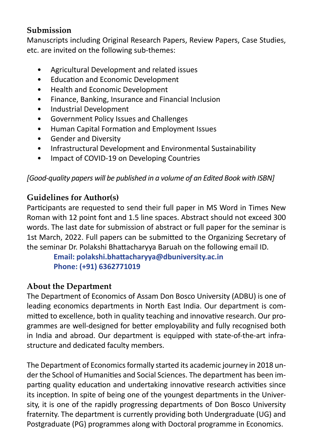# **Submission**

Manuscripts including Original Research Papers, Review Papers, Case Studies, etc. are invited on the following sub-themes:

- Agricultural Development and related issues
- Education and Economic Development
- Health and Economic Development
- Finance, Banking, Insurance and Financial Inclusion
- Industrial Development
- Government Policy Issues and Challenges
- Human Capital Formation and Employment Issues
- Gender and Diversity
- Infrastructural Development and Environmental Sustainability
- Impact of COVID-19 on Developing Countries

*[Good-quality papers will be published in a volume of an Edited Book with ISBN]*

# **Guidelines for Author(s)**

Participants are requested to send their full paper in MS Word in Times New Roman with 12 point font and 1.5 line spaces. Abstract should not exceed 300 words. The last date for submission of abstract or full paper for the seminar is 1st March, 2022. Full papers can be submitted to the Organizing Secretary of the seminar Dr. Polakshi Bhattacharyya Baruah on the following email ID.

**Email: polakshi.bhattacharyya@dbuniversity.ac.in Phone: (+91) 6362771019**

# **About the Department**

The Department of Economics of Assam Don Bosco University (ADBU) is one of leading economics departments in North East India. Our department is committed to excellence, both in quality teaching and innovative research. Our programmes are well-designed for better employability and fully recognised both in India and abroad. Our department is equipped with state-of-the-art infrastructure and dedicated faculty members.

The Department of Economics formally started its academic journey in 2018 under the School of Humanities and Social Sciences. The department has been imparting quality education and undertaking innovative research activities since its inception. In spite of being one of the youngest departments in the University, it is one of the rapidly progressing departments of Don Bosco University fraternity. The department is currently providing both Undergraduate (UG) and Postgraduate (PG) programmes along with Doctoral programme in Economics.